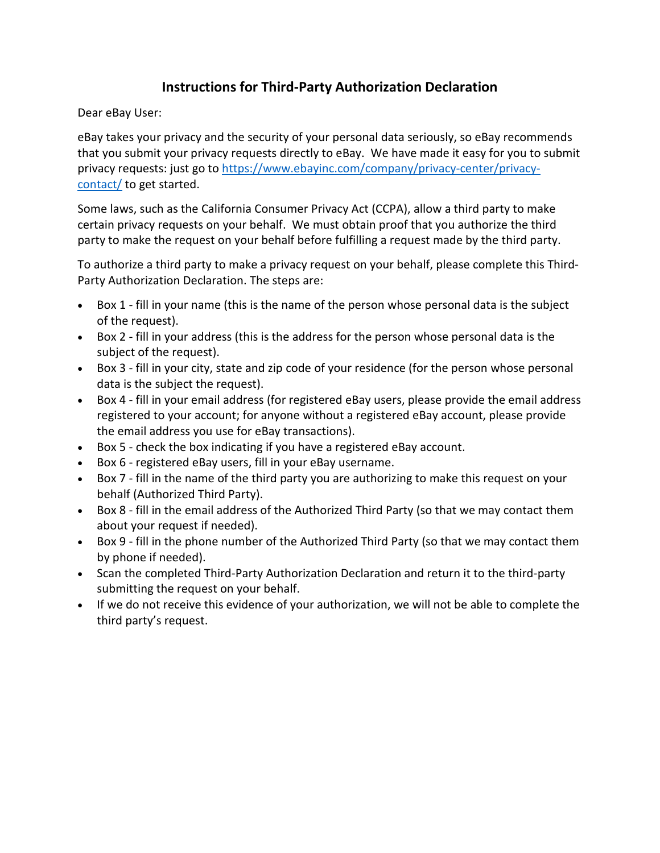## **Instructions for Third-Party Authorization Declaration**

Dear eBay User:

eBay takes your privacy and the security of your personal data seriously, so eBay recommends that you submit your privacy requests directly to eBay. We have made it easy for you to submit privacy requests: just go to [https://www.ebayinc.com/company/privacy-center/privacy](https://www.ebayinc.com/company/privacy-center/privacy-contact/)[contact/](https://www.ebayinc.com/company/privacy-center/privacy-contact/) to get started.

Some laws, such as the California Consumer Privacy Act (CCPA), allow a third party to make certain privacy requests on your behalf. We must obtain proof that you authorize the third party to make the request on your behalf before fulfilling a request made by the third party.

To authorize a third party to make a privacy request on your behalf, please complete this Third-Party Authorization Declaration. The steps are:

- Box 1 fill in your name (this is the name of the person whose personal data is the subject of the request).
- Box 2 fill in your address (this is the address for the person whose personal data is the subject of the request).
- Box 3 fill in your city, state and zip code of your residence (for the person whose personal data is the subject the request).
- Box 4 fill in your email address (for registered eBay users, please provide the email address registered to your account; for anyone without a registered eBay account, please provide the email address you use for eBay transactions).
- Box 5 check the box indicating if you have a registered eBay account.
- Box 6 registered eBay users, fill in your eBay username.
- Box 7 fill in the name of the third party you are authorizing to make this request on your behalf (Authorized Third Party).
- Box 8 fill in the email address of the Authorized Third Party (so that we may contact them about your request if needed).
- Box 9 fill in the phone number of the Authorized Third Party (so that we may contact them by phone if needed).
- Scan the completed Third-Party Authorization Declaration and return it to the third-party submitting the request on your behalf.
- If we do not receive this evidence of your authorization, we will not be able to complete the third party's request.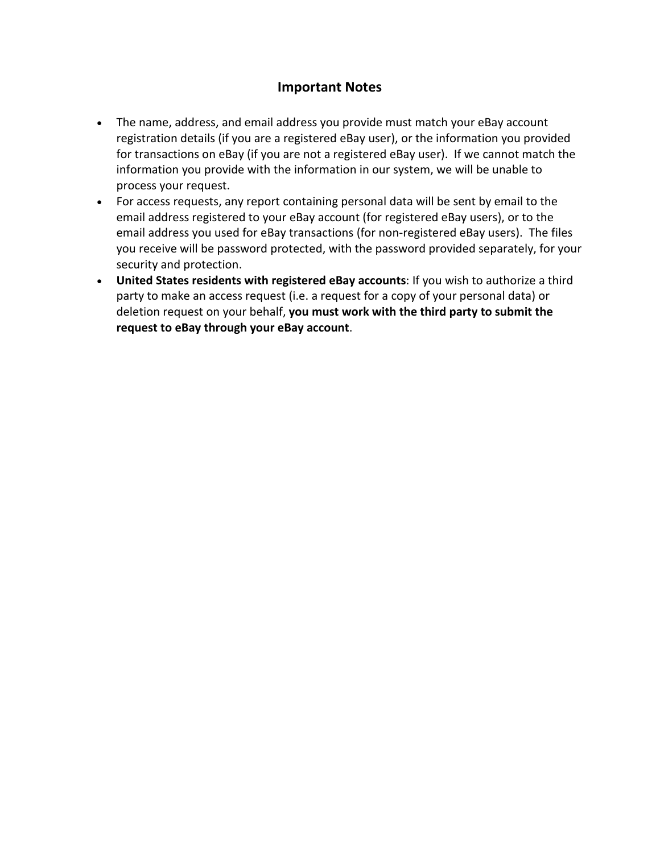## **Important Notes**

- The name, address, and email address you provide must match your eBay account registration details (if you are a registered eBay user), or the information you provided for transactions on eBay (if you are not a registered eBay user). If we cannot match the information you provide with the information in our system, we will be unable to process your request.
- For access requests, any report containing personal data will be sent by email to the email address registered to your eBay account (for registered eBay users), or to the email address you used for eBay transactions (for non-registered eBay users). The files you receive will be password protected, with the password provided separately, for your security and protection.
- **United States residents with registered eBay accounts**: If you wish to authorize a third party to make an access request (i.e. a request for a copy of your personal data) or deletion request on your behalf, **you must work with the third party to submit the request to eBay through your eBay account**.